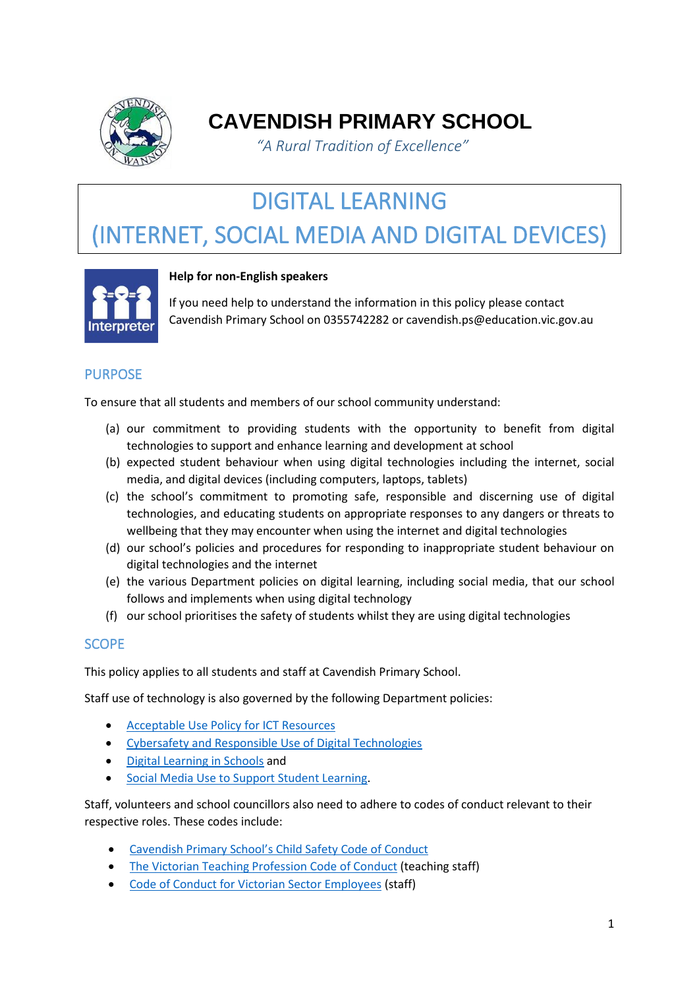

## **CAVENDISH PRIMARY SCHOOL**

*"A Rural Tradition of Excellence"* 

# DIGITAL LEARNING

# (INTERNET, SOCIAL MEDIA AND DIGITAL DEVICES)



#### **Help for non-English speakers**

If you need help to understand the information in this policy please contact Cavendish Primary School on 0355742282 or cavendish.ps@education.vic.gov.au

#### PURPOSE

To ensure that all students and members of our school community understand:

- (a) our commitment to providing students with the opportunity to benefit from digital technologies to support and enhance learning and development at school
- (b) expected student behaviour when using digital technologies including the internet, social media, and digital devices (including computers, laptops, tablets)
- (c) the school's commitment to promoting safe, responsible and discerning use of digital technologies, and educating students on appropriate responses to any dangers or threats to wellbeing that they may encounter when using the internet and digital technologies
- (d) our school's policies and procedures for responding to inappropriate student behaviour on digital technologies and the internet
- (e) the various Department policies on digital learning, including social media, that our school follows and implements when using digital technology
- (f) our school prioritises the safety of students whilst they are using digital technologies

#### **SCOPE**

This policy applies to all students and staff at Cavendish Primary School.

Staff use of technology is also governed by the following Department policies:

- [Acceptable Use Policy](https://www2.education.vic.gov.au/pal/ict-acceptable-use/overview) for ICT Resources
- [Cybersafety and Responsible Use of Digital Technologies](https://www2.education.vic.gov.au/pal/cybersafety/policy)
- [Digital Learning in Schools](https://www2.education.vic.gov.au/pal/digital-learning/policy) and
- [Social Media Use to Support Student Learning.](https://www2.education.vic.gov.au/pal/social-media/policy)

Staff, volunteers and school councillors also need to adhere to codes of conduct relevant to their respective roles. These codes include:

- Cavendish Primary School's [Child Safety Code of Conduct](http://cavendishps.vic.edu.au/school-policies/)
- [The Victorian Teaching Profession Code of Conduct](https://www.vit.vic.edu.au/__data/assets/pdf_file/0018/35604/Code-of-Conduct-2016.pdf) (teaching staff)
- [Code of Conduct for Victorian Sector Employees](https://www2.education.vic.gov.au/pal/code-conduct/overview) (staff)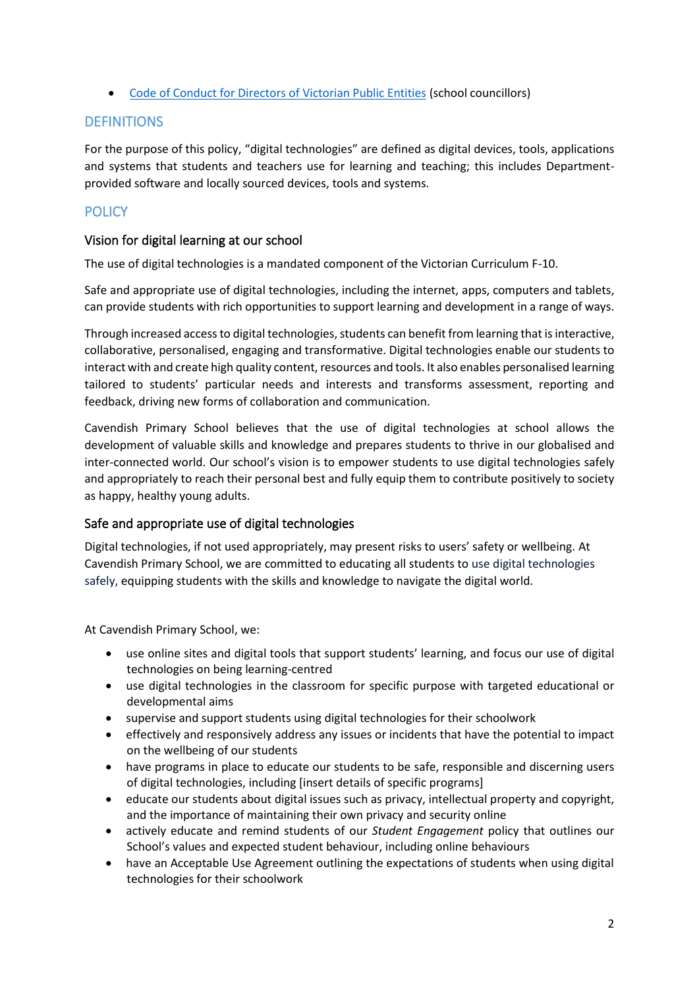• [Code of Conduct for Directors of Victorian Public Entities](https://www2.education.vic.gov.au/pal/school-council-conduct/policy) (school councillors)

#### **DEFINITIONS**

For the purpose of this policy, "digital technologies" are defined as digital devices, tools, applications and systems that students and teachers use for learning and teaching; this includes Departmentprovided software and locally sourced devices, tools and systems.

#### **POLICY**

#### Vision for digital learning at our school

The use of digital technologies is a mandated component of the Victorian Curriculum F-10.

Safe and appropriate use of digital technologies, including the internet, apps, computers and tablets, can provide students with rich opportunities to support learning and development in a range of ways.

Through increased access to digital technologies, students can benefit from learning that is interactive, collaborative, personalised, engaging and transformative. Digital technologies enable our students to interact with and create high quality content, resources and tools. It also enables personalised learning tailored to students' particular needs and interests and transforms assessment, reporting and feedback, driving new forms of collaboration and communication.

Cavendish Primary School believes that the use of digital technologies at school allows the development of valuable skills and knowledge and prepares students to thrive in our globalised and inter-connected world. Our school's vision is to empower students to use digital technologies safely and appropriately to reach their personal best and fully equip them to contribute positively to society as happy, healthy young adults.

#### Safe and appropriate use of digital technologies

Digital technologies, if not used appropriately, may present risks to users' safety or wellbeing. At Cavendish Primary School, we are committed to educating all students to use digital technologies safely, equipping students with the skills and knowledge to navigate the digital world.

At Cavendish Primary School, we:

- use online sites and digital tools that support students' learning, and focus our use of digital technologies on being learning-centred
- use digital technologies in the classroom for specific purpose with targeted educational or developmental aims
- supervise and support students using digital technologies for their schoolwork
- effectively and responsively address any issues or incidents that have the potential to impact on the wellbeing of our students
- have programs in place to educate our students to be safe, responsible and discerning users of digital technologies, including [insert details of specific programs]
- educate our students about digital issues such as privacy, intellectual property and copyright, and the importance of maintaining their own privacy and security online
- actively educate and remind students of our *Student Engagement* policy that outlines our School's values and expected student behaviour, including online behaviours
- have an Acceptable Use Agreement outlining the expectations of students when using digital technologies for their schoolwork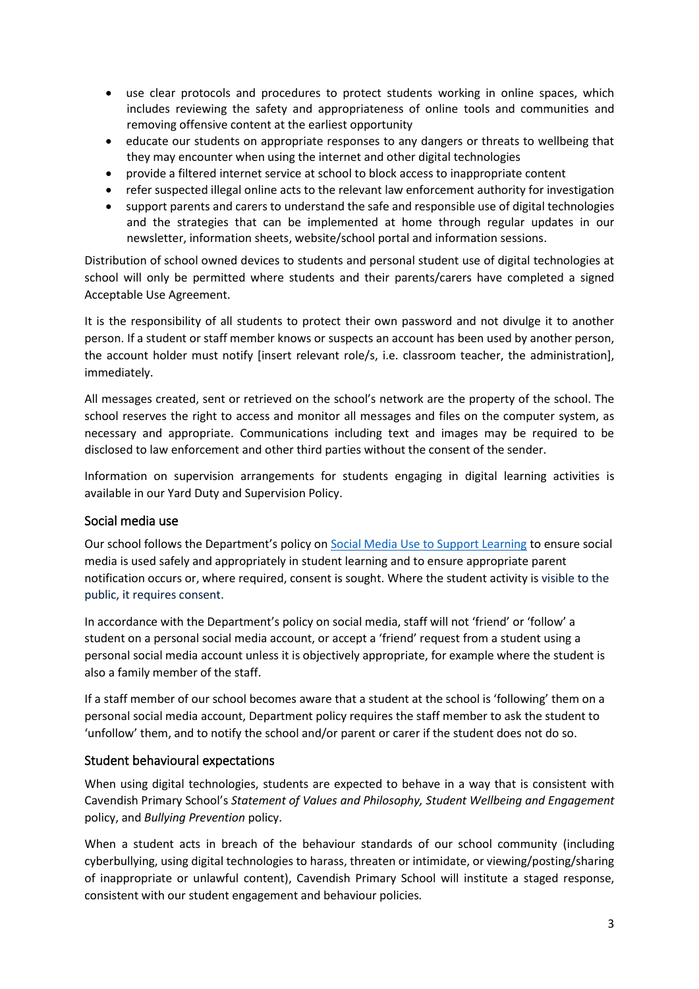- use clear protocols and procedures to protect students working in online spaces, which includes reviewing the safety and appropriateness of online tools and communities and removing offensive content at the earliest opportunity
- educate our students on appropriate responses to any dangers or threats to wellbeing that they may encounter when using the internet and other digital technologies
- provide a filtered internet service at school to block access to inappropriate content
- refer suspected illegal online acts to the relevant law enforcement authority for investigation
- support parents and carers to understand the safe and responsible use of digital technologies and the strategies that can be implemented at home through regular updates in our newsletter, information sheets, website/school portal and information sessions.

Distribution of school owned devices to students and personal student use of digital technologies at school will only be permitted where students and their parents/carers have completed a signed Acceptable Use Agreement.

It is the responsibility of all students to protect their own password and not divulge it to another person. If a student or staff member knows or suspects an account has been used by another person, the account holder must notify [insert relevant role/s, i.e. classroom teacher, the administration], immediately.

All messages created, sent or retrieved on the school's network are the property of the school. The school reserves the right to access and monitor all messages and files on the computer system, as necessary and appropriate. Communications including text and images may be required to be disclosed to law enforcement and other third parties without the consent of the sender.

Information on supervision arrangements for students engaging in digital learning activities is available in our Yard Duty and Supervision Policy.

#### Social media use

Our school follows the Department's policy on [Social Media Use to Support Learning](https://www2.education.vic.gov.au/pal/social-media/policy) to ensure social media is used safely and appropriately in student learning and to ensure appropriate parent notification occurs or, where required, consent is sought. Where the student activity is visible to the public, it requires consent.

In accordance with the Department's policy on social media, staff will not 'friend' or 'follow' a student on a personal social media account, or accept a 'friend' request from a student using a personal social media account unless it is objectively appropriate, for example where the student is also a family member of the staff.

If a staff member of our school becomes aware that a student at the school is 'following' them on a personal social media account, Department policy requires the staff member to ask the student to 'unfollow' them, and to notify the school and/or parent or carer if the student does not do so.

#### Student behavioural expectations

When using digital technologies, students are expected to behave in a way that is consistent with Cavendish Primary School's *Statement of Values and Philosophy, Student Wellbeing and Engagement* policy, and *Bullying Prevention* policy.

When a student acts in breach of the behaviour standards of our school community (including cyberbullying, using digital technologies to harass, threaten or intimidate, or viewing/posting/sharing of inappropriate or unlawful content), Cavendish Primary School will institute a staged response, consistent with our student engagement and behaviour policies*.*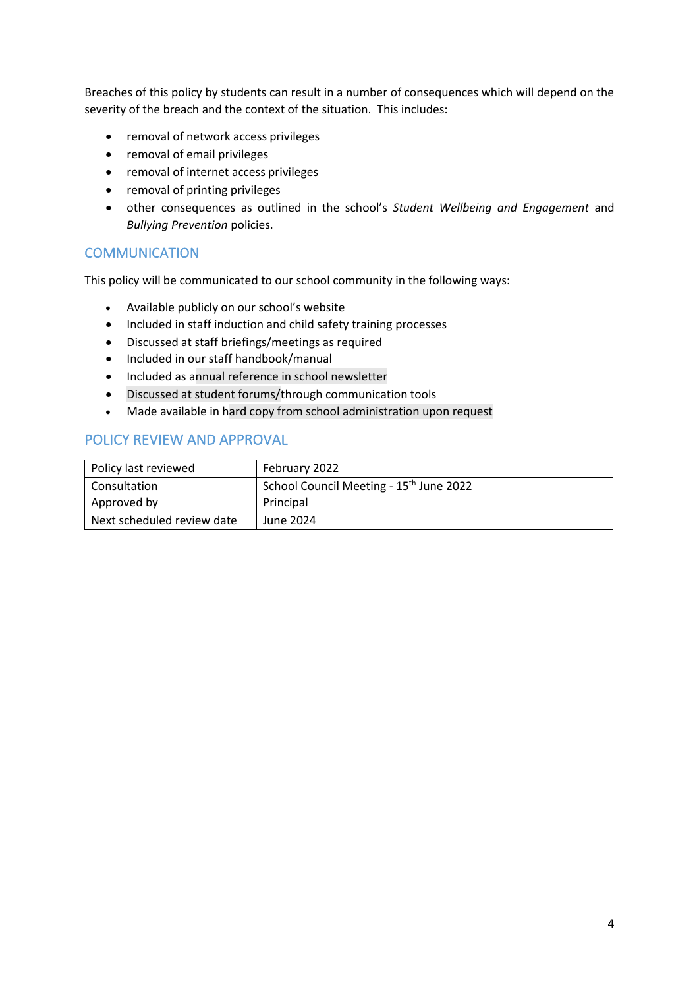Breaches of this policy by students can result in a number of consequences which will depend on the severity of the breach and the context of the situation. This includes:

- removal of network access privileges
- removal of email privileges
- removal of internet access privileges
- removal of printing privileges
- other consequences as outlined in the school's *Student Wellbeing and Engagement* and *Bullying Prevention* policies.

#### **COMMUNICATION**

This policy will be communicated to our school community in the following ways:

- Available publicly on our school's website
- Included in staff induction and child safety training processes
- Discussed at staff briefings/meetings as required
- Included in our staff handbook/manual
- Included as annual reference in school newsletter
- Discussed at student forums/through communication tools
- Made available in hard copy from school administration upon request

#### POLICY REVIEW AND APPROVAL

| Policy last reviewed       | February 2022                                       |
|----------------------------|-----------------------------------------------------|
| Consultation               | School Council Meeting - 15 <sup>th</sup> June 2022 |
| Approved by                | Principal                                           |
| Next scheduled review date | June 2024                                           |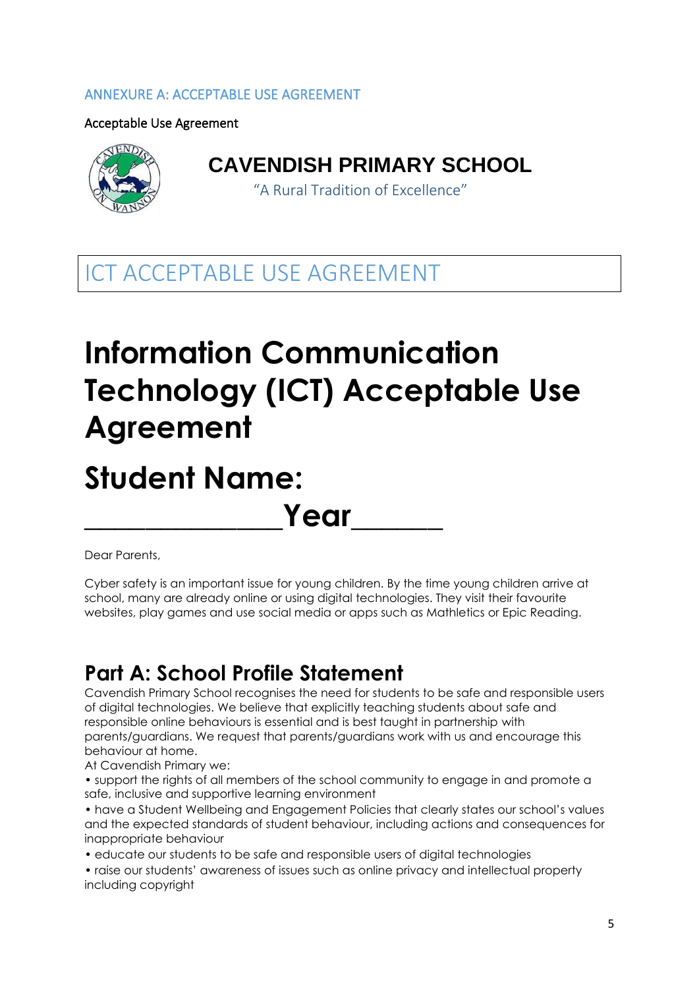#### ANNEXURE A: ACCEPTABLE USE AGREEMENT

Acceptable Use Agreement



## **CAVENDISH PRIMARY SCHOOL**

"A Rural Tradition of Excellence"

ICT ACCEPTABLE USE AGREEMENT

# **Information Communication Technology (ICT) Acceptable Use Agreement**

# **Student Name:**

Dear Parents,

Cyber safety is an important issue for young children. By the time young children arrive at school, many are already online or using digital technologies. They visit their favourite websites, play games and use social media or apps such as Mathletics or Epic Reading.

**Year** 

# **Part A: School Profile Statement**

Cavendish Primary School recognises the need for students to be safe and responsible users of digital technologies. We believe that explicitly teaching students about safe and responsible online behaviours is essential and is best taught in partnership with parents/guardians. We request that parents/guardians work with us and encourage this behaviour at home.

At Cavendish Primary we:

• support the rights of all members of the school community to engage in and promote a safe, inclusive and supportive learning environment

• have a Student Wellbeing and Engagement Policies that clearly states our school's values and the expected standards of student behaviour, including actions and consequences for inappropriate behaviour

• educate our students to be safe and responsible users of digital technologies

• raise our students' awareness of issues such as online privacy and intellectual property including copyright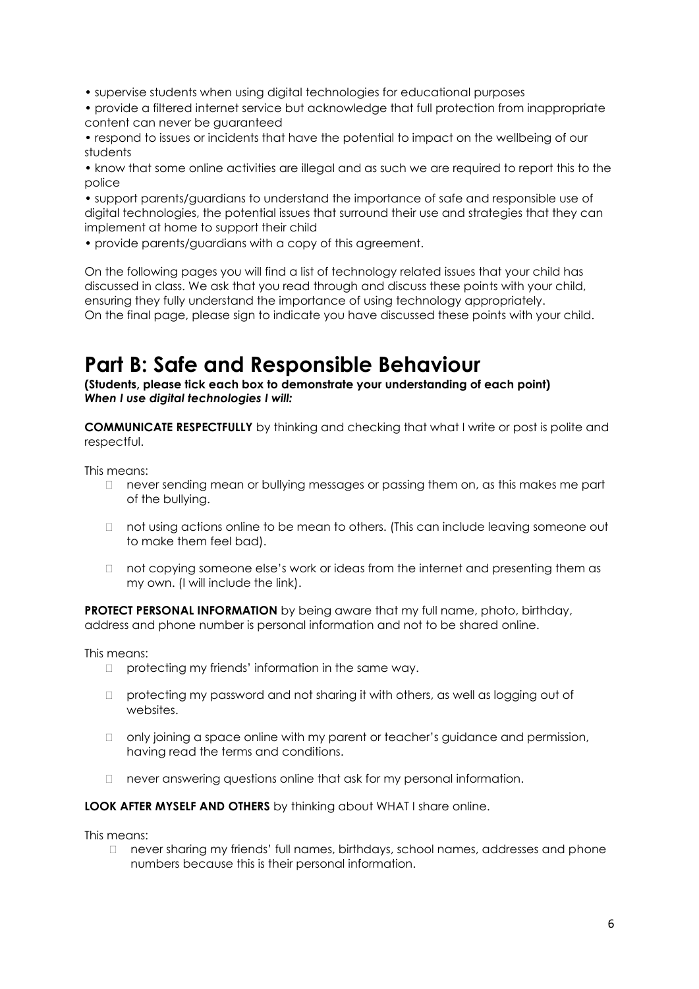• supervise students when using digital technologies for educational purposes

• provide a filtered internet service but acknowledge that full protection from inappropriate content can never be guaranteed

• respond to issues or incidents that have the potential to impact on the wellbeing of our students

• know that some online activities are illegal and as such we are required to report this to the police

• support parents/guardians to understand the importance of safe and responsible use of digital technologies, the potential issues that surround their use and strategies that they can implement at home to support their child

• provide parents/guardians with a copy of this agreement.

On the following pages you will find a list of technology related issues that your child has discussed in class. We ask that you read through and discuss these points with your child, ensuring they fully understand the importance of using technology appropriately. On the final page, please sign to indicate you have discussed these points with your child.

## **Part B: Safe and Responsible Behaviour**

**(Students, please tick each box to demonstrate your understanding of each point)**  *When I use digital technologies I will:* 

**COMMUNICATE RESPECTFULLY** by thinking and checking that what I write or post is polite and respectful.

This means:

- $\Box$  never sending mean or bullying messages or passing them on, as this makes me part of the bullying.
- $\Box$  not using actions online to be mean to others. (This can include leaving someone out to make them feel bad).
- $\Box$  not copying someone else's work or ideas from the internet and presenting them as my own. (I will include the link).

**PROTECT PERSONAL INFORMATION** by being aware that my full name, photo, birthday, address and phone number is personal information and not to be shared online.

This means:

- $\Box$  protecting my friends' information in the same way.
- $\Box$  protecting my password and not sharing it with others, as well as logging out of websites.
- □ only joining a space online with my parent or teacher's guidance and permission, having read the terms and conditions.
- never answering questions online that ask for my personal information.

**LOOK AFTER MYSELF AND OTHERS** by thinking about WHAT I share online.

This means:

 never sharing my friends' full names, birthdays, school names, addresses and phone numbers because this is their personal information.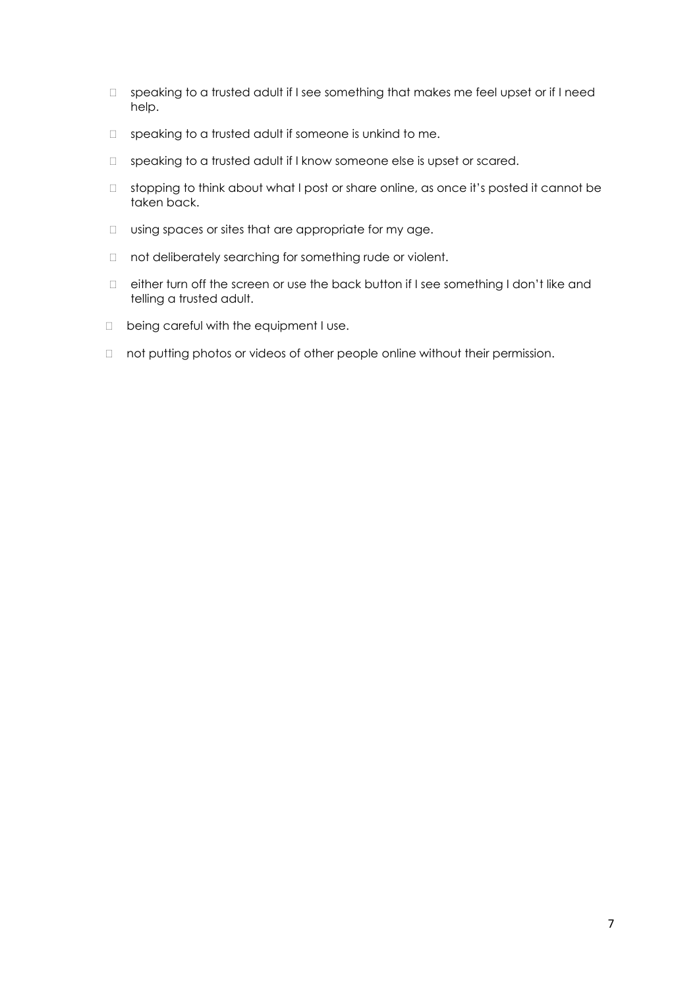- $\Box$  speaking to a trusted adult if I see something that makes me feel upset or if I need help.
- $\Box$  speaking to a trusted adult if someone is unkind to me.
- $\Box$  speaking to a trusted adult if I know someone else is upset or scared.
- □ stopping to think about what I post or share online, as once it's posted it cannot be taken back.
- $\Box$  using spaces or sites that are appropriate for my age.
- $\Box$  not deliberately searching for something rude or violent.
- either turn off the screen or use the back button if I see something I don't like and telling a trusted adult.
- D being careful with the equipment I use.
- □ not putting photos or videos of other people online without their permission.